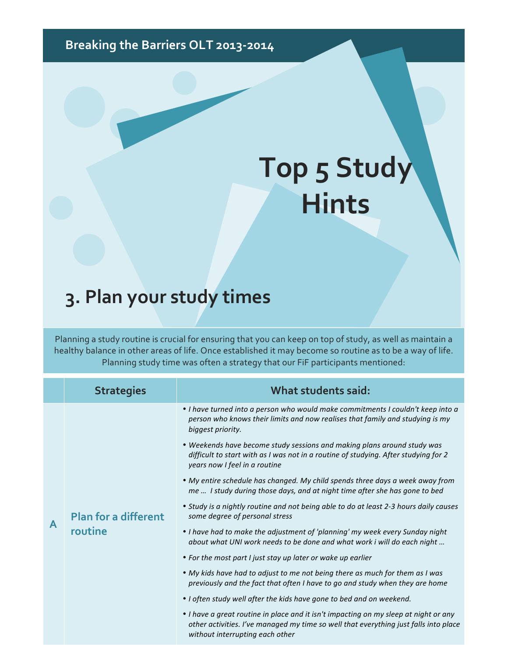## Breaking the Barriers OLT 2013-2014

## **Top 5 Study Hints**

## **3. Plan your study times**

Planning a study routine is crucial for ensuring that you can keep on top of study, as well as maintain a healthy balance in other areas of life. Once established it may become so routine as to be a way of life. Planning study time was often a strategy that our FiF participants mentioned:

 $\overline{\phantom{a}}$ 

|   | <b>Strategies</b>                      | What students said:                                                                                                                                                                                             |
|---|----------------------------------------|-----------------------------------------------------------------------------------------------------------------------------------------------------------------------------------------------------------------|
| A | <b>Plan for a different</b><br>routine | • I have turned into a person who would make commitments I couldn't keep into a<br>person who knows their limits and now realises that family and studying is my<br>biggest priority.                           |
|   |                                        | . Weekends have become study sessions and making plans around study was<br>difficult to start with as I was not in a routine of studying. After studying for 2<br>years now I feel in a routine                 |
|   |                                        | • My entire schedule has changed. My child spends three days a week away from<br>me  I study during those days, and at night time after she has gone to bed                                                     |
|   |                                        | • Study is a nightly routine and not being able to do at least 2-3 hours daily causes<br>some degree of personal stress                                                                                         |
|   |                                        | • I have had to make the adjustment of 'planning' my week every Sunday night<br>about what UNI work needs to be done and what work i will do each night                                                         |
|   |                                        | • For the most part I just stay up later or wake up earlier                                                                                                                                                     |
|   |                                        | • My kids have had to adjust to me not being there as much for them as I was<br>previously and the fact that often I have to go and study when they are home                                                    |
|   |                                        | • I often study well after the kids have gone to bed and on weekend.                                                                                                                                            |
|   |                                        | • I have a great routine in place and it isn't impacting on my sleep at night or any<br>other activities. I've managed my time so well that everything just falls into place<br>without interrupting each other |